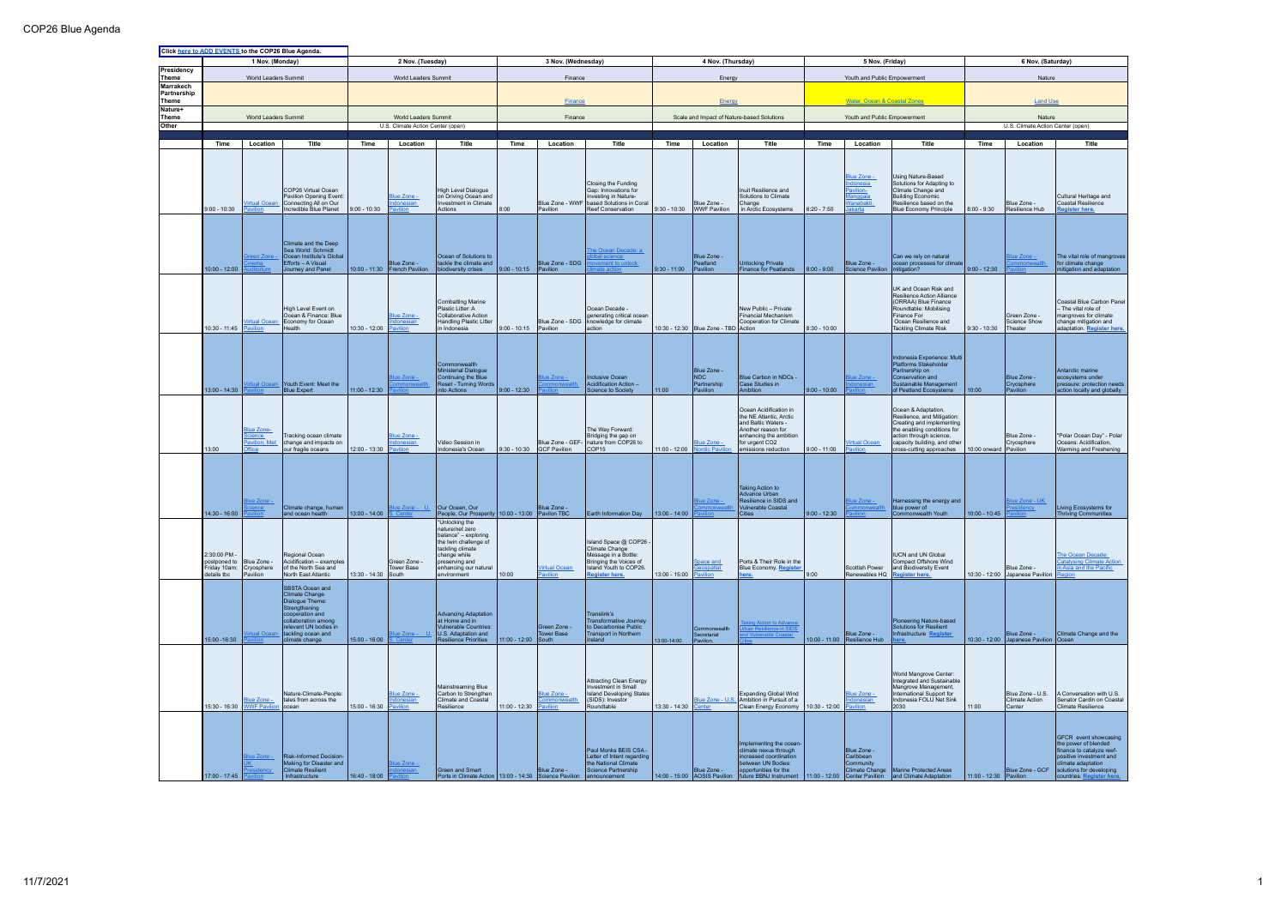| Click here to ADD EVENTS to the COP26 Blue Agenda. |                                                                   |                                                                |                                                                                                                                                                                  |                        |                                                                                                                                                                  |                                                                                                                                                                                  | 3 Nov. (Wednesday)                                           |                                                |                                                                                                                                               |                 |                                                  |                                                                                                                                                                                                          |                        |                                                                          |                                                                                                                                                                                                       | 6 Nov. (Saturday)      |                                                      |                                                                                                                                                                                      |  |
|----------------------------------------------------|-------------------------------------------------------------------|----------------------------------------------------------------|----------------------------------------------------------------------------------------------------------------------------------------------------------------------------------|------------------------|------------------------------------------------------------------------------------------------------------------------------------------------------------------|----------------------------------------------------------------------------------------------------------------------------------------------------------------------------------|--------------------------------------------------------------|------------------------------------------------|-----------------------------------------------------------------------------------------------------------------------------------------------|-----------------|--------------------------------------------------|----------------------------------------------------------------------------------------------------------------------------------------------------------------------------------------------------------|------------------------|--------------------------------------------------------------------------|-------------------------------------------------------------------------------------------------------------------------------------------------------------------------------------------------------|------------------------|------------------------------------------------------|--------------------------------------------------------------------------------------------------------------------------------------------------------------------------------------|--|
| Presidency                                         |                                                                   | 1 Nov. (Mondav)                                                |                                                                                                                                                                                  |                        | 2 Nov. (Tuesday)                                                                                                                                                 |                                                                                                                                                                                  |                                                              |                                                |                                                                                                                                               |                 | 4 Nov. (Thursday)                                |                                                                                                                                                                                                          |                        | 5 Nov. (Friday)                                                          |                                                                                                                                                                                                       |                        |                                                      |                                                                                                                                                                                      |  |
| Theme                                              |                                                                   | World Leaders Summit                                           |                                                                                                                                                                                  |                        | <b>World Leaders Summit</b>                                                                                                                                      |                                                                                                                                                                                  |                                                              | Finance                                        |                                                                                                                                               |                 | Energy                                           |                                                                                                                                                                                                          |                        | Youth and Public Empowerment                                             |                                                                                                                                                                                                       |                        | Nature                                               |                                                                                                                                                                                      |  |
| Marrakech<br>Partnership                           |                                                                   |                                                                |                                                                                                                                                                                  |                        |                                                                                                                                                                  |                                                                                                                                                                                  |                                                              |                                                |                                                                                                                                               |                 |                                                  |                                                                                                                                                                                                          |                        |                                                                          |                                                                                                                                                                                                       |                        |                                                      |                                                                                                                                                                                      |  |
| Theme<br>Nature+                                   |                                                                   |                                                                |                                                                                                                                                                                  |                        |                                                                                                                                                                  |                                                                                                                                                                                  |                                                              | <b>Finance</b>                                 |                                                                                                                                               |                 | Energy                                           |                                                                                                                                                                                                          |                        | <b>Water, Ocean &amp; Coastal Zones</b>                                  |                                                                                                                                                                                                       |                        | <b>Land Use</b>                                      |                                                                                                                                                                                      |  |
| <b>Theme</b><br>Other                              |                                                                   | <b>World Leaders Summit</b>                                    |                                                                                                                                                                                  |                        | World Leaders Summit<br>U.S. Climate Action Center (open)                                                                                                        |                                                                                                                                                                                  |                                                              | Finance                                        |                                                                                                                                               |                 |                                                  | Scale and Impact of Nature-based Solutions                                                                                                                                                               |                        | Youth and Public Empowerment                                             |                                                                                                                                                                                                       |                        | Nature<br>U.S. Climate Action Center (open)          |                                                                                                                                                                                      |  |
|                                                    |                                                                   |                                                                |                                                                                                                                                                                  |                        |                                                                                                                                                                  |                                                                                                                                                                                  |                                                              |                                                |                                                                                                                                               |                 |                                                  |                                                                                                                                                                                                          |                        |                                                                          |                                                                                                                                                                                                       |                        |                                                      |                                                                                                                                                                                      |  |
|                                                    | Time                                                              | Location                                                       | Title                                                                                                                                                                            | Time                   | Location                                                                                                                                                         | Title                                                                                                                                                                            | Time                                                         | Location                                       | Title                                                                                                                                         | Time            | Location                                         | Title                                                                                                                                                                                                    | Time                   | Location                                                                 | Title                                                                                                                                                                                                 | Time                   | Location                                             | Title                                                                                                                                                                                |  |
|                                                    | $9:00 - 10:30$                                                    | <b>/irtual Ocean</b><br>avilion                                | COP26 Virtual Ocean<br>Pavilion Opening Event:<br>Connecting All on Our<br>Incredible Blue Planet                                                                                | $9:00 - 10:30$         | Blue Zone -<br>ndonesian<br>Pavilion                                                                                                                             | High Level Dialogue<br>on Driving Ocean and<br>Investment in Climate<br>Actions                                                                                                  | 8:00                                                         | Pavilion                                       | Closing the Funding<br>Gap: Innovations for<br>Investing in Nature-<br>Blue Zone - WWF   based Solutions in Coral<br><b>Reef Conservation</b> | $9:30 - 10:30$  | Blue Zone -<br>WWF Pavilion                      | Inuit Resilience and<br>Solutions to Climate<br>Change<br>in Arctic Ecosystems                                                                                                                           | $6:20 - 7:50$          | Blue Zone -<br>ndonesia<br>Pavilion-<br>Manggala<br>Wanabakti<br>Jakarta | Using Nature-Based<br>Solutions for Adapting to<br>Climate Change and<br><b>Building Economic</b><br>Resilience based on the<br><b>Blue Economy Principle</b>                                         | $8:00 - 9:30$          | Blue Zone -<br>Resilience Hub                        | Cultural Heritage and<br>Coastal Resilience<br>egister here.                                                                                                                         |  |
|                                                    | $10:00 - 12:00$                                                   | reen Zone -<br>uditorium                                       | Climate and the Deep<br>Sea World: Schmidt<br>Ocean Institute's Global<br>Efforts - A Visual<br>Journey and Panel                                                                |                        | Blue Zone -<br>10:00 - 11:30   French Pavilion                                                                                                                   | Ocean of Solutions to<br>tackle the climate and<br>biodiversity crises                                                                                                           | $9:00 - 10:15$                                               | Blue Zone - SDG<br>Pavilion                    | he Ocean Decade: a<br>obal science<br>ement to unlock<br>mate action                                                                          | $9:30 - 11:00$  | Blue Zone -<br>Peatland<br>Pavilion              | <b>Unlocking Private</b><br>Finance for Peatlands                                                                                                                                                        | $8:00 - 9:00$          | Blue Zone -<br>Science Pavilion   mitigation?                            | Can we rely on natural<br>ocean processes for climate                                                                                                                                                 | $9:00 - 12:30$         | Blue Zone -<br>mmonwealth<br>avilion                 | The vital role of mangroves<br>for climate change<br>mitigation and adaptation                                                                                                       |  |
|                                                    | 10:30 - 11:45                                                     | <b>Virtual Ocean</b><br>avilion                                | High Level Event on<br>Ocean & Finance: Blue<br>Economy for Ocean<br>Health                                                                                                      | $10:30 - 12:00$        | Blue Zone -<br>ndonesian<br>Pavilion                                                                                                                             | <b>Combatting Marine</b><br>Plastic Litter: A<br>Collaborative Action<br><b>Handling Plastic Litter</b><br>in Indonesia                                                          | $9:00 - 10:15$                                               | Pavilion                                       | Ocean Decade -<br>generating critical ocean<br>Blue Zone - SDG   knowledge for climate<br>action                                              |                 | 10:30 - 12:30   Blue Zone - TBD                  | New Public - Private<br><b>Financial Mechanism</b><br><b>Cooperation for Climate</b><br>Action                                                                                                           | $8:30 - 10:00$         |                                                                          | UK and Ocean Risk and<br>Resilience Action Alliance<br>(ORRAA) Blue Finance<br>Roundtable: Mobilising<br>Finance For<br>Ocean Resilience and<br><b>Tackling Climate Risk</b>                          | $9:30 - 10:30$         | Green Zone -<br><b>Science Show</b><br>Theater       | Coastal Blue Carbon Panel<br>- The vital role of<br>mangroves for climate<br>change mitigation and<br>adaptation. Register here.                                                     |  |
|                                                    | $13:00 - 14:30$                                                   | <b>irtual Ocean</b><br>ilion                                   | Youth Event: Meet the<br><b>Blue Expert</b>                                                                                                                                      | $11:00 - 12:30$        | Commonwealth<br><b>Ministerial Dialoque</b><br>Continuing the Blue<br>llue Zone -<br><b>Reset - Turning Words</b><br><b>mmonwealth</b><br>into Actions<br>vilion |                                                                                                                                                                                  | lue Zone -<br><b>ommonwealt</b><br>$9:00 - 12:30$<br>uoilive |                                                | Inclusive Ocean<br>Acidification Action -<br>Science to Society                                                                               | 11:00           | Blue Zone -<br>INDC.<br>Partnership<br>Pavilion  | Blue Carbon in NDCs -<br>Case Studies in<br>Ambition                                                                                                                                                     | $9:00 - 10:00$         | Blue Zone -<br>donesian<br>vilion                                        | Indonesia Experience: Multi<br>Platforms Stakeholder<br>Partnership on<br>Conservation and<br>Sustainable Management<br>of Peatland Ecosystems                                                        | 10:00                  | Blue Zone -<br>Cryosphere<br>Pavilion                | Antarctic marine<br>ecosystems under<br>pressure: protection needs<br>action locally and globally                                                                                    |  |
|                                                    | 13:00                                                             | <b>Blue Zone-</b><br>Science<br>Pavilion, Met<br><b>Office</b> | Tracking ocean climate<br>change and impacts on<br>our fragile oceans                                                                                                            | 12:00 - 13:30          | Blue Zone -<br>ndonesian<br>Pavilion                                                                                                                             | Video Session in<br>Indonesia's Ocean                                                                                                                                            | $9:30 - 10:30$                                               | Blue Zone - GEF-<br>GCF Pavilion               | The Way Forward:<br>Bridging the gap on<br>nature from COP26 to<br>COP <sub>15</sub>                                                          | $11:00 - 12:00$ | Blue Zone -<br>ordic Pavilion                    | Ocean Acidification in<br>the NE Atlantic, Arctic<br>and Baltic Waters -<br>Another reason for<br>enhancing the ambition<br>for urgent CO2<br>emissions reduction                                        | $9:00 - 11:00$         | <b>Virtual Ocean</b><br>avilion                                          | Ocean & Adaptation,<br>Resilience, and Mitigation:<br>Creating and implementing<br>the enabling conditions for<br>action through science,<br>capacity building, and other<br>cross-cutting approaches | 10:00 onward Pavilion  | Blue Zone -<br>Cryosphere                            | "Polar Ocean Day" - Polar<br>Oceans: Acidification,<br>Warming and Freshening                                                                                                        |  |
|                                                    | $14:30 - 16:00$                                                   | ue Zone -<br>vilion                                            | Climate change, human<br>and ocean health                                                                                                                                        | 13:00 - 14:00          | lue Zone - U.<br>. Center                                                                                                                                        | Our Ocean, Our<br>People, Our Prosperity                                                                                                                                         | 10:00 - 13:00 Pavilon TBC                                    | Blue Zone -                                    | Earth Information Day                                                                                                                         | 13:00 - 14:00   | lue Zone -<br>avilion                            | <b>Taking Action to</b><br>Advance Urban<br>Resilience in SIDS and<br>Vulnerable Coastal<br><b>Cities</b>                                                                                                | $9:00 - 12:30$         | lue Zone -<br>avilion                                                    | Harnessing the energy and<br>blue power of<br>Commonwealth Youth                                                                                                                                      | $10:00 - 10:45$        | Blue Zone - UK<br>sidency<br>avilion                 | Living Ecosystems for<br><b>Thriving Communities</b>                                                                                                                                 |  |
|                                                    | 2:30:00 PM -<br>postponed to<br>Friday 10am;<br>details tbc       | Blue Zone -<br>Cryosphere<br>Pavilion                          | Regional Ocean<br>Acidification - examples<br>of the North Sea and<br>North East Atlantic                                                                                        | 13:30 - 14:30 South    | Green Zone<br><b>Tower Base</b>                                                                                                                                  | "Unlocking the<br>nature/net zero<br>balance" - exploring<br>the twin challenge of<br>tackling climate<br>change while<br>preserving and<br>enhancing our natural<br>environment | 10:00                                                        | <b>Virtual Ocean</b><br>Pavilion               | Island Space @ COP26<br>Climate Change<br>Message in a Bottle:<br>Bringing the Voices of<br>Island Youth to COP26.<br>Register here.          | 13:00 - 15:00   | <b>Space and</b><br><b>Seospatial</b><br>avilion | Ports & Their Role in the<br>Blue Economy. Register<br>here.                                                                                                                                             | 9:00                   | Scottish Power<br>Renewables HQ                                          | <b>IUCN</b> and UN Global<br>Compact Offshore Wind<br>and Biodiversity Event<br><b>Register here.</b>                                                                                                 |                        | Blue Zone -<br>10:30 - 12:00 Japanese Pavilion       | The Ocean Decade:<br><b>Catalysing Climate Action</b><br>n Asia and the Pacific<br>egion                                                                                             |  |
|                                                    | 15:00 - 16:30                                                     | rtual Ocean<br>ilion                                           | SBSTA Ocean and<br>Climate Change<br>Dialogue Theme:<br>Strengthening<br>cooperation and<br>collaboration among<br>relevant UN bodies in<br>tackling ocean and<br>climate change | $15:00 - 16:00$        | ue Zone - U.<br>. Center                                                                                                                                         | <b>Advancing Adaptation</b><br>at Home and in<br><b>Vulnerable Countries:</b><br>U.S. Adaptation and<br>Resilience Priorities                                                    | 11:00 - 12:00 South                                          | Green Zone -<br><b>Tower Base</b>              | Translink's<br><b>Transformative Journey</b><br>to Decarbonise Public<br>Transport in Northern<br>Ireland                                     | 13:00-14:00     | Commonwealth<br>Secretariat<br>Pavilion,         | <b>Taking Action to Advance</b><br><u>Jrban Resilience in SIDS</u><br>Ind Vulnerable Coastal<br>ties                                                                                                     |                        | Blue Zone -<br>10:00 - 11:00 Resilience Hub                              | Pioneering Nature-based<br>Solutions for Resilient<br>Infrastructure Register                                                                                                                         |                        | Blue Zone -<br>10:30 - 12:00 Japanese Pavilion Ocean | Climate Change and the                                                                                                                                                               |  |
|                                                    | 15:30 - 16:30                                                     | lue Zone -<br><b>WWF Pavilion</b>                              | Nature-Climate-People:<br>tales from across the<br>ocean                                                                                                                         | 15:00 - 16:30 Pavilion | Blue Zone -<br>ndonesian                                                                                                                                         | Mainstreaming Blue<br>Carbon to Strengthen<br>Climate and Coastal<br>Resilience                                                                                                  | 11:00 - 12:30                                                | Blue Zone -<br><b>Commonwealth</b><br>Pavilion | <b>Attracting Clean Energy</b><br>Investment in Small<br><b>Island Developing States</b><br>(SIDS): Investor<br>Roundtable                    | 13:30 - 14:30   | <b>Center</b>                                    | <b>Expanding Global Wind</b><br>Blue Zone - U.S. Ambition in Pursuit of a<br>Clean Energy Economy                                                                                                        | 10:30 - 12:00 Pavilion | Blue Zone -<br>ndonesian                                                 | World Mangrove Center:<br>Integrated and Sustainable<br>Mangrove Management,<br>International Support for<br>Indonesia FOLU Net Sink<br>2030                                                          | 11:00                  | Blue Zone - U.S.<br>Climate Action<br>Center         | A Conversation with U.S.<br>Senator Cardin on Coastal<br><b>Climate Resilience</b>                                                                                                   |  |
|                                                    | ue Zone -<br><b>Climate Resilient</b><br>sidencv<br>17:00 - 17:45 |                                                                | Risk-Informed Decision-<br>Making for Disaster and<br>Infrastructure                                                                                                             | $16:40 - 18:00$        | lue Zone -<br>donesian<br>vilion                                                                                                                                 | <b>Green and Smart</b><br>Ports in Climate Action 13:00 - 14:30 Science Pavilion announcement                                                                                    |                                                              | Blue Zone -                                    | Paul Monks BEIS CSA -<br>Letter of Intent regarding<br>the National Climate<br>Science Partnership                                            |                 | Blue Zone -<br>14:00 - 15:00 AOSIS Pavilion      | Implementing the ocean-<br>climate nexus through<br>increased coordination<br>between UN Bodies:<br>opportunities for the<br>future BBNJ Instrument 11:00 - 12:00 Center Pavilion and Climate Adaptation |                        | Blue Zone -<br>Caribbean<br>Community                                    | Climate Change   Marine Protected Areas                                                                                                                                                               | 11:00 - 12:30 Pavilion | Blue Zone - GCF                                      | GFCR event showcasing<br>the power of blended<br>finance to catalyze reef-<br>positive investment and<br>climate adaptation<br>solutions for developing<br>countries. Register here. |  |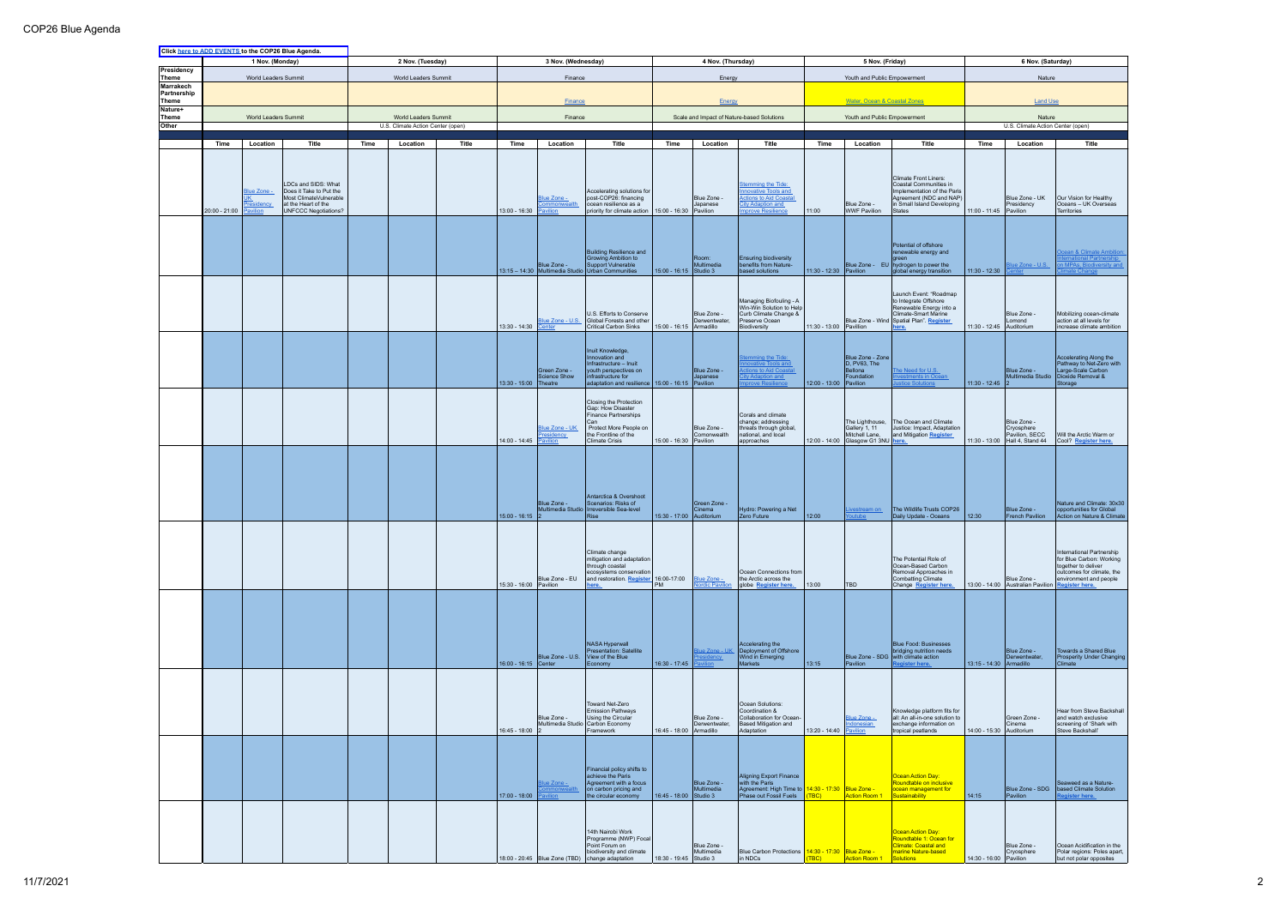|                          |                 |                                              | Click here to ADD EVENTS to the COP26 Blue Agenda.                                                                      |      |                                                           |       | 3 Nov. (Wednesday)     |                                                              |                                                                                                                                                                 | 4 Nov. (Thursday)         |                                       |                                                                                                                                           |                         |                                                                                         |                                                                                                                                                         | 6 Nov. (Saturday)        |                                                                 |                                                                                                                                     |
|--------------------------|-----------------|----------------------------------------------|-------------------------------------------------------------------------------------------------------------------------|------|-----------------------------------------------------------|-------|------------------------|--------------------------------------------------------------|-----------------------------------------------------------------------------------------------------------------------------------------------------------------|---------------------------|---------------------------------------|-------------------------------------------------------------------------------------------------------------------------------------------|-------------------------|-----------------------------------------------------------------------------------------|---------------------------------------------------------------------------------------------------------------------------------------------------------|--------------------------|-----------------------------------------------------------------|-------------------------------------------------------------------------------------------------------------------------------------|
| Presidency<br>Theme      |                 | 1 Nov. (Monday)<br>World Leaders Summit      |                                                                                                                         |      | 2 Nov. (Tuesday)<br>World Leaders Summit                  |       |                        | Finance                                                      |                                                                                                                                                                 |                           | Energy                                |                                                                                                                                           |                         | 5 Nov. (Friday)<br>Youth and Public Empowerment                                         |                                                                                                                                                         |                          | Nature                                                          |                                                                                                                                     |
| Marrakech<br>Partnership |                 |                                              |                                                                                                                         |      |                                                           |       |                        |                                                              |                                                                                                                                                                 |                           |                                       |                                                                                                                                           |                         |                                                                                         |                                                                                                                                                         |                          |                                                                 |                                                                                                                                     |
| Theme<br>Nature+         |                 |                                              |                                                                                                                         |      |                                                           |       |                        | <b>Finance</b>                                               |                                                                                                                                                                 |                           | Energy                                |                                                                                                                                           |                         | <b>Water, Ocean &amp; Coastal Zones</b>                                                 |                                                                                                                                                         |                          | <b>Land Use</b>                                                 |                                                                                                                                     |
| Theme<br>Other           |                 | World Leaders Summit                         |                                                                                                                         |      | World Leaders Summit<br>U.S. Climate Action Center (open) |       |                        | Finance                                                      |                                                                                                                                                                 |                           |                                       | Scale and Impact of Nature-based Solutions                                                                                                |                         | Youth and Public Empowerment                                                            |                                                                                                                                                         |                          | Nature<br>U.S. Climate Action Center (open)                     |                                                                                                                                     |
|                          | Time            | Location                                     | Title                                                                                                                   | Time | Location                                                  | Title | Time                   | Location                                                     | <b>Title</b>                                                                                                                                                    | Time                      | Location                              | Title                                                                                                                                     | Time                    | Location                                                                                | Title                                                                                                                                                   | Time                     | Location                                                        | Title                                                                                                                               |
|                          | $20:00 - 21:00$ | <b>Blue Zone -</b><br>Presidency<br>Pavilion | LDCs and SIDS: What<br>Does it Take to Put the<br>Most ClimateVulnerable<br>at the Heart of the<br>UNFCCC Negotiations? |      |                                                           |       | 13:00 - 16:30          | <b>Blue Zone -</b><br><b>Commonwealth</b><br><b>Pavilion</b> | Accelerating solutions for<br>post-COP26: financing<br>ocean resilience as a<br>priority for climate action                                                     | 15:00 - 16:30 Pavilion    | Blue Zone -<br>Japanese               | <b>Stemming the Tide:</b><br>nnovative Tools and<br><b>Actions to Aid Coastal</b><br><b>City Adaption and</b><br><b>mprove Resilience</b> | 11:00                   | Blue Zone -<br><b>WWF Pavilion</b>                                                      | Climate Front Liners:<br>Coastal Communities in<br>Implementation of the Paris<br>Agreement (NDC and NAP)<br>in Small Island Developing<br>States       | 11:00 - 11:45            | Blue Zone - UK<br>Presidency<br>Pavilion                        | Our Vision for Healthy<br>Oceans - UK Overseas<br>Territories                                                                       |
|                          |                 |                                              |                                                                                                                         |      |                                                           |       |                        | Blue Zone -                                                  | Building Resilience and<br>Growing Ambition to<br><b>Support Vulnerable</b><br>13:15 - 14:30 Multimedia Studio Urban Communities                                | 15:00 - 16:15 Studio 3    | Room:<br>Multimedia                   | <b>Ensuring biodiversity</b><br>benefits from Nature-<br>based solutions                                                                  | 11:30 - 12:30 Pavilion  |                                                                                         | Potential of offshore<br>renewable energy and<br>areen<br>Blue Zone - EU   hydrogen to power the<br>global energy transition                            | $11:30 - 12:30$          | lue Zone - U.S.<br>enter                                        | Ocean & Climate Ambition<br>national Partnership<br>n MPAs, Biodiversity and<br>mate Change                                         |
|                          |                 |                                              |                                                                                                                         |      |                                                           |       | 13:30 - 14:30          | Blue Zone - U.S.                                             | U.S. Efforts to Conserve<br>Global Forests and other<br><b>Critical Carbon Sinks</b>                                                                            | 15:00 - 16:15   Armadillo | Blue Zone -<br>Derwentwater,          | Managing Biofouling - A<br>Win-Win Solution to Help<br>Curb Climate Change &<br>Preserve Ocean<br>Biodiversity                            | 11:30 - 13:00 Pavillion |                                                                                         | Launch Event: "Roadmap<br>to Integrate Offshore<br>Renewable Energy into a<br>Climate-Smart Marine<br>Blue Zone - Wind Spatial Plan". Register<br>here. | 11:30 - 12:45 Auditorium | Blue Zone -<br>Lomond                                           | Mobilizing ocean-climate<br>action at all levels for<br>increase climate ambition                                                   |
|                          |                 |                                              |                                                                                                                         |      |                                                           |       | 13:30 - 15:00 Theatre  | Green Zone -<br>Science Show                                 | Inuit Knowledge,<br>Innovation and<br>Infrastructure - Inuit<br>youth perspectives on<br>infrastructure for<br>adaptation and resilience 15:00 - 16:15 Pavilion |                           | Blue Zone -<br>Japanese               | temming the Tide:<br>novative Tools and<br>ctions to Aid Coasta<br><b>City Adaption and</b><br><b>nprove Resilience</b>                   | 12:00 - 13:00 Pavilion  | Blue Zone - Zone<br>D, PV63, The<br>Bellona<br>Foundation                               | The Need for U.S.<br>vestments in Ocean<br><b>ustice Solutions</b>                                                                                      | $11:30 - 12:45$          | Blue Zone -<br>Multimedia Studio                                | Accelerating Along the<br>Pathway to Net-Zero with<br>Large-Scale Carbon<br>Dioxide Removal &<br>Storage                            |
|                          |                 |                                              |                                                                                                                         |      |                                                           |       | 14:00 - 14:45          | <b>Blue Zone - UK</b><br>Presidency<br>avilion               | Closing the Protection<br>Gap: How Disaster<br>Finance Partnerships<br>Can<br>Protect More People on<br>the Frontline of the<br><b>Climate Crisis</b>           | 15:00 - 16:30 Pavilion    | Blue Zone -<br>Comonwealth            | Corals and climate<br>change; addressing<br>threats through global,<br>national, and local<br>approaches                                  |                         | The Lighthouse,<br>Gallery 1, 11<br>Mitchell Lane,<br>12:00 - 14:00 Glasgow G1 3NU here | The Ocean and Climate<br>Justice: Impact, Adaptation<br>and Mitigation Register                                                                         | $11:30 - 13:00$          | Blue Zone -<br>Cryosphere<br>Pavilion, SECC<br>Hall 4, Stand 44 | Will the Arctic Warm or<br>Cool? Register here.                                                                                     |
|                          |                 |                                              |                                                                                                                         |      |                                                           |       | $15:00 - 16:15$        | Blue Zone -                                                  | Antarctica & Overshoot<br>Scenarios: Risks of<br>Multimedia Studio   Irreversible Sea-level<br><b>Rise</b>                                                      | 15:30 - 17:00 Auditorium  | Green Zone -<br>Cinema                | Hydro: Powering a Net<br>Zero Future                                                                                                      | 12:00                   | ivestream on<br>outube                                                                  | The Wildlife Trusts COP26<br>Daily Update - Oceans                                                                                                      | 12:30                    | Blue Zone -<br>French Pavilion                                  | Nature and Climate: 30x30<br>opportunities for Global<br>Action on Nature & Climate                                                 |
|                          |                 |                                              |                                                                                                                         |      |                                                           |       | 15:30 - 16:00 Pavilion | Blue Zone - EU                                               | Climate change<br>mitigation and adaptation<br>through coastal<br>ecosystems conservation<br>and restoration. Register                                          | 16:00-17:00<br><b>PM</b>  | Blue Zone -<br><b>Jordic Pavilion</b> | Ocean Connections from<br>the Arctic across the<br>globe Register here.                                                                   | 13:00                   | TBD                                                                                     | The Potential Role of<br>Ocean-Based Carbon<br>Removal Approaches in<br>Combatting Climate<br>Change Register here.                                     |                          | Blue Zone -<br>13:00 - 14:00 Australian Pavilion Register here. | International Partnership<br>for Blue Carbon: Working<br>together to deliver<br>outcomes for climate, the<br>environment and people |
|                          |                 |                                              |                                                                                                                         |      |                                                           |       | 16:00 - 16:15 Center   | Blue Zone - U.S.                                             | NASA Hyperwall<br>Presentation: Satellite<br>View of the Blue<br>Economy                                                                                        | 16:30 - 17:45 Pavilion    | ue Zone - UK<br><u>sidency</u>        | Accelerating the<br>Deployment of Offshore<br>Wind in Emerging<br>Markets                                                                 | 13:15                   | Pavilion                                                                                | <b>Blue Food: Businesses</b><br>bridging nutrition needs<br>Blue Zone - SDG with climate action<br><b>Register here.</b>                                | 13:15 - 14:30 Armadillo  | Blue Zone -<br>Derwentwater,                                    | Towards a Shared Blue<br>Prosperity Under Changing<br><b>Climate</b>                                                                |
|                          |                 |                                              |                                                                                                                         |      |                                                           |       | 16:45 - 18:00          | Blue Zone -<br>Multimedia Studio                             | Toward Net-Zero<br>Emission Pathways<br>Using the Circular<br>Carbon Economy<br>Framework                                                                       | 16:45 - 18:00 Armadillo   | Blue Zone -<br>Derwentwater,          | Ocean Solutions:<br>Coordination &<br>Collaboration for Ocean<br>Based Mitigation and<br>Adaptation                                       | 13:20 - 14:40           | Blue Zone -<br>donesian<br>Pavilion                                                     | Knowledge platform fits for<br>all: An all-in-one solution to<br>exchange information on<br>tropical peatlands                                          | 14:00 - 15:30 Auditorium | Green Zone -<br>Cinema                                          | Hear from Steve Backshall<br>and watch exclusive<br>screening of 'Shark with<br>Steve Backshall'                                    |
|                          |                 |                                              |                                                                                                                         |      |                                                           |       | 17:00 - 18:00          | Blue Zone -<br><u>ivilion</u>                                | Financial policy shifts to<br>achieve the Paris<br>Agreement with a focus<br>on carbon pricing and<br>the circular economy                                      | 16:45 - 18:00 Studio 3    | Blue Zone -<br>Multimedia             | <b>Aligning Export Finance</b><br>with the Paris<br>Agreement: High Time to<br>Phase out Fossil Fuels                                     | BC)                     | 4:30 - 17:30 Blue Zone -<br><b>Action Room 1</b>                                        | Ocean Action Day:<br>Roundtable on inclusive<br>ocean management for<br><b>Sustainability</b>                                                           | 14:15                    | Blue Zone - SDG<br>Pavilion                                     | Seaweed as a Nature-<br>based Climate Solution<br><b>jister here</b>                                                                |
|                          |                 |                                              |                                                                                                                         |      |                                                           |       |                        |                                                              | 14th Nairobi Work<br>Programme (NWP) Focal<br>Point Forum on<br>biodiversity and climate<br>18:00 - 20:45   Blue Zone (TBD)   change adaptation                 | 18:30 - 19:45 Studio 3    | Blue Zone -<br>Multimedia             | Blue Carbon Protections 14:30 - 17:30 Blue Zone -<br>in NDCs                                                                              | TBC)                    | Action Room 1                                                                           | <b>Ocean Action Day:</b><br>Roundtable 1: Ocean for<br><b>Climate: Coastal and</b><br>marine Nature-based<br>Solutions                                  | 14:30 - 16:00 Pavilion   | Blue Zone -<br>Cryosphere                                       | Ocean Acidification in the<br>Polar regions: Poles apart,<br>but not polar opposites                                                |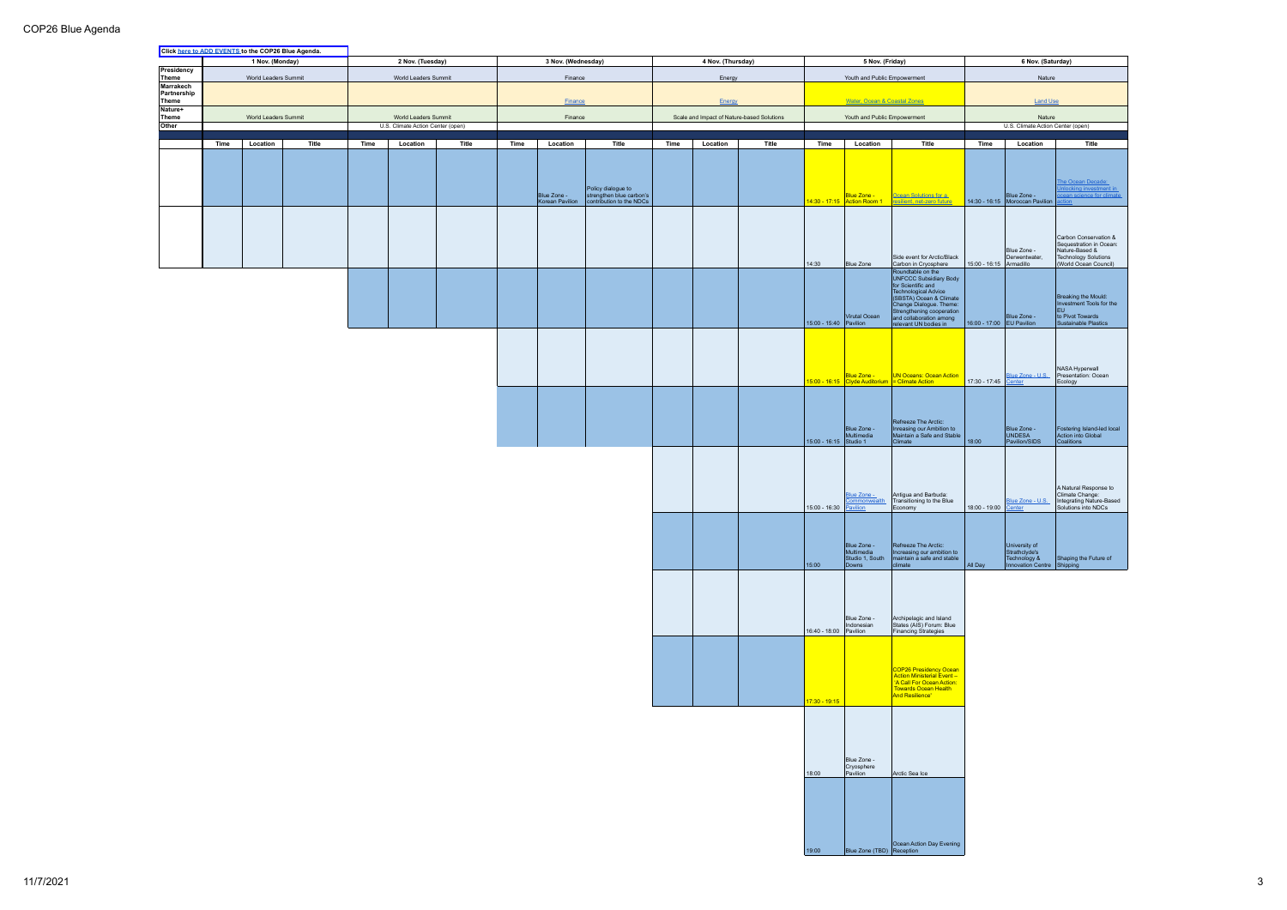| Click here to ADD EVENTS to the COP26 Blue Agenda. |      |                      |       |      |                                   |       |      |                                |                                                      |      |                   |                                            |                        |                                                   |                                                                       |                           |                                                  |                                                                 |
|----------------------------------------------------|------|----------------------|-------|------|-----------------------------------|-------|------|--------------------------------|------------------------------------------------------|------|-------------------|--------------------------------------------|------------------------|---------------------------------------------------|-----------------------------------------------------------------------|---------------------------|--------------------------------------------------|-----------------------------------------------------------------|
|                                                    |      | 1 Nov. (Monday)      |       |      | 2 Nov. (Tuesday)                  |       |      | 3 Nov. (Wednesday)             |                                                      |      | 4 Nov. (Thursday) |                                            |                        | 5 Nov. (Friday)                                   |                                                                       |                           | 6 Nov. (Saturday)                                |                                                                 |
| Presidency                                         |      |                      |       |      |                                   |       |      |                                |                                                      |      |                   |                                            |                        |                                                   |                                                                       |                           |                                                  |                                                                 |
| Theme<br>Marrakech                                 |      | World Leaders Summit |       |      | World Leaders Summit              |       |      | Finance                        |                                                      |      | Energy            |                                            |                        | Youth and Public Empowerment                      |                                                                       |                           | Nature                                           |                                                                 |
| Partnership                                        |      |                      |       |      |                                   |       |      |                                |                                                      |      |                   |                                            |                        |                                                   |                                                                       |                           |                                                  |                                                                 |
| Theme<br>Nature+                                   |      |                      |       |      |                                   |       |      | <b>Finance</b>                 |                                                      |      | Energy            |                                            |                        | <b>Water, Ocean &amp; Coastal Zones</b>           |                                                                       |                           | <b>Land Use</b>                                  |                                                                 |
| Theme                                              |      | World Leaders Summit |       |      | World Leaders Summit              |       |      | Finance                        |                                                      |      |                   | Scale and Impact of Nature-based Solutions |                        | Youth and Public Empowerment                      |                                                                       |                           | Nature                                           |                                                                 |
| Other                                              |      |                      |       |      | U.S. Climate Action Center (open) |       |      |                                |                                                      |      |                   |                                            |                        |                                                   |                                                                       |                           | U.S. Climate Action Center (open)                |                                                                 |
|                                                    | Time | Location             | Title | Time | Location                          | Title | Time | Location                       | Title                                                | Time | Location          | Title                                      | Time                   | Location                                          | Title                                                                 | Time                      | Location                                         | Title                                                           |
|                                                    |      |                      |       |      |                                   |       |      |                                |                                                      |      |                   |                                            |                        |                                                   |                                                                       |                           |                                                  |                                                                 |
|                                                    |      |                      |       |      |                                   |       |      |                                |                                                      |      |                   |                                            |                        |                                                   |                                                                       |                           |                                                  |                                                                 |
|                                                    |      |                      |       |      |                                   |       |      |                                |                                                      |      |                   |                                            |                        |                                                   |                                                                       |                           |                                                  |                                                                 |
|                                                    |      |                      |       |      |                                   |       |      |                                | Policy dialogue to                                   |      |                   |                                            |                        |                                                   |                                                                       |                           |                                                  | The Ocean Decade:<br>Unlocking investment in                    |
|                                                    |      |                      |       |      |                                   |       |      | Blue Zone -<br>Korean Pavilion | strengthen blue carbon's<br>contribution to the NDCs |      |                   |                                            |                        | Blue Zone -<br>14:30 - 17:15 Action Room 1        | Ocean Solutions for a<br>resilient, net-zero future                   |                           | Blue Zone -<br>14:30 - 16:15   Moroccan Pavilion | ocean science for climate<br>ction                              |
|                                                    |      |                      |       |      |                                   |       |      |                                |                                                      |      |                   |                                            |                        |                                                   |                                                                       |                           |                                                  |                                                                 |
|                                                    |      |                      |       |      |                                   |       |      |                                |                                                      |      |                   |                                            |                        |                                                   |                                                                       |                           |                                                  |                                                                 |
|                                                    |      |                      |       |      |                                   |       |      |                                |                                                      |      |                   |                                            |                        |                                                   |                                                                       |                           |                                                  | Carbon Conservation &                                           |
|                                                    |      |                      |       |      |                                   |       |      |                                |                                                      |      |                   |                                            |                        |                                                   |                                                                       |                           |                                                  | Sequestration in Ocean:                                         |
|                                                    |      |                      |       |      |                                   |       |      |                                |                                                      |      |                   |                                            |                        |                                                   | Side event for Arctic/Black<br>Carbon in Cryosphere                   |                           | Blue Zone -<br>Derwentwater,                     | Nature-Based &<br>Technology Solutions<br>(World Ocean Council) |
|                                                    |      |                      |       |      |                                   |       |      |                                |                                                      |      |                   |                                            | 14:30                  | Blue Zone                                         | Roundtable on the                                                     | 15:00 - 16:15 Armadillo   |                                                  |                                                                 |
|                                                    |      |                      |       |      |                                   |       |      |                                |                                                      |      |                   |                                            |                        |                                                   | UNFCCC Subsidiary Body                                                |                           |                                                  |                                                                 |
|                                                    |      |                      |       |      |                                   |       |      |                                |                                                      |      |                   |                                            |                        |                                                   | for Scientific and<br>Technological Advice<br>(SBSTA) Ocean & Climate |                           |                                                  |                                                                 |
|                                                    |      |                      |       |      |                                   |       |      |                                |                                                      |      |                   |                                            |                        |                                                   | Change Dialogue. Theme:                                               |                           |                                                  | Breaking the Mould:<br>Investment Tools for the                 |
|                                                    |      |                      |       |      |                                   |       |      |                                |                                                      |      |                   |                                            |                        | Virutal Ocean                                     | Strengthening cooperation<br>and collaboration among                  |                           | Blue Zone -                                      | leu<br>to Pivot Towards                                         |
|                                                    |      |                      |       |      |                                   |       |      |                                |                                                      |      |                   |                                            | 15:00 - 15:40 Pavilion |                                                   | relevant UN bodies in                                                 | 16:00 - 17:00 EU Pavilion |                                                  | Sustainable Plastics                                            |
|                                                    |      |                      |       |      |                                   |       |      |                                |                                                      |      |                   |                                            |                        |                                                   |                                                                       |                           |                                                  |                                                                 |
|                                                    |      |                      |       |      |                                   |       |      |                                |                                                      |      |                   |                                            |                        |                                                   |                                                                       |                           |                                                  |                                                                 |
|                                                    |      |                      |       |      |                                   |       |      |                                |                                                      |      |                   |                                            |                        |                                                   |                                                                       |                           |                                                  |                                                                 |
|                                                    |      |                      |       |      |                                   |       |      |                                |                                                      |      |                   |                                            |                        | <b>Blue Zone -</b>                                | UN Oceans: Ocean Action                                               |                           | Blue Zone - U.S.                                 | NASA Hyperwall<br>Presentation: Ocean                           |
|                                                    |      |                      |       |      |                                   |       |      |                                |                                                      |      |                   |                                            |                        | $15:00 - 16:15$ Clyde Auditorium = Climate Action |                                                                       | 17:30 - 17:45 Center      |                                                  | Ecology                                                         |
|                                                    |      |                      |       |      |                                   |       |      |                                |                                                      |      |                   |                                            |                        |                                                   |                                                                       |                           |                                                  |                                                                 |
|                                                    |      |                      |       |      |                                   |       |      |                                |                                                      |      |                   |                                            |                        |                                                   |                                                                       |                           |                                                  |                                                                 |
|                                                    |      |                      |       |      |                                   |       |      |                                |                                                      |      |                   |                                            |                        |                                                   | Refreeze The Arctic:                                                  |                           |                                                  |                                                                 |
|                                                    |      |                      |       |      |                                   |       |      |                                |                                                      |      |                   |                                            |                        | Blue Zone -<br>Multimedia                         | Inreasing our Ambition to<br>Maintain a Safe and Stable               |                           | Blue Zone -<br><b>UNDESA</b>                     | Fostering Island-led local<br>Action into Global                |
|                                                    |      |                      |       |      |                                   |       |      |                                |                                                      |      |                   |                                            | 15:00 - 16:15 Studio 1 |                                                   | Climate                                                               | 18:00                     | Pavilion/SIDS                                    | Coalitions                                                      |
|                                                    |      |                      |       |      |                                   |       |      |                                |                                                      |      |                   |                                            |                        |                                                   |                                                                       |                           |                                                  |                                                                 |
|                                                    |      |                      |       |      |                                   |       |      |                                |                                                      |      |                   |                                            |                        |                                                   |                                                                       |                           |                                                  |                                                                 |
|                                                    |      |                      |       |      |                                   |       |      |                                |                                                      |      |                   |                                            |                        |                                                   |                                                                       |                           |                                                  |                                                                 |
|                                                    |      |                      |       |      |                                   |       |      |                                |                                                      |      |                   |                                            |                        |                                                   |                                                                       |                           |                                                  | A Natural Response to                                           |
|                                                    |      |                      |       |      |                                   |       |      |                                |                                                      |      |                   |                                            |                        | Blue Zone -<br><b>Commonwealth</b>                | Antigua and Barbuda:<br>Transitioning to the Blue                     |                           | Blue Zone - U.S.                                 | Climate Change:<br>Integrating Nature-Based                     |
|                                                    |      |                      |       |      |                                   |       |      |                                |                                                      |      |                   |                                            | 15:00 - 16:30          | <b>Pavilion</b>                                   | Economy                                                               | 18:00 - 19:00 Center      |                                                  | Solutions into NDCs                                             |
|                                                    |      |                      |       |      |                                   |       |      |                                |                                                      |      |                   |                                            |                        |                                                   |                                                                       |                           |                                                  |                                                                 |
|                                                    |      |                      |       |      |                                   |       |      |                                |                                                      |      |                   |                                            |                        |                                                   |                                                                       |                           |                                                  |                                                                 |
|                                                    |      |                      |       |      |                                   |       |      |                                |                                                      |      |                   |                                            |                        | Blue Zone -<br>Multimedia                         | Refreeze The Arctic:<br>Increasing our ambition to                    |                           | University of<br>Strathclyde's                   |                                                                 |
|                                                    |      |                      |       |      |                                   |       |      |                                |                                                      |      |                   |                                            |                        | Studio 1, South                                   | maintain a safe and stable                                            |                           | Technology &                                     | Shaping the Future of                                           |
|                                                    |      |                      |       |      |                                   |       |      |                                |                                                      |      |                   |                                            | 15:00                  | Downs                                             | climate                                                               | All Day                   | Innovation Centre Shipping                       |                                                                 |
|                                                    |      |                      |       |      |                                   |       |      |                                |                                                      |      |                   |                                            |                        |                                                   |                                                                       |                           |                                                  |                                                                 |
|                                                    |      |                      |       |      |                                   |       |      |                                |                                                      |      |                   |                                            |                        |                                                   |                                                                       |                           |                                                  |                                                                 |
|                                                    |      |                      |       |      |                                   |       |      |                                |                                                      |      |                   |                                            |                        |                                                   |                                                                       |                           |                                                  |                                                                 |
|                                                    |      |                      |       |      |                                   |       |      |                                |                                                      |      |                   |                                            |                        | Blue Zone -                                       | Archipelagic and Island<br>States (AIS) Forum: Blue                   |                           |                                                  |                                                                 |
|                                                    |      |                      |       |      |                                   |       |      |                                |                                                      |      |                   |                                            | 16:40 - 18:00 Pavilion | Indonesian                                        | Financing Strategies                                                  |                           |                                                  |                                                                 |
|                                                    |      |                      |       |      |                                   |       |      |                                |                                                      |      |                   |                                            |                        |                                                   |                                                                       |                           |                                                  |                                                                 |
|                                                    |      |                      |       |      |                                   |       |      |                                |                                                      |      |                   |                                            |                        |                                                   |                                                                       |                           |                                                  |                                                                 |
|                                                    |      |                      |       |      |                                   |       |      |                                |                                                      |      |                   |                                            |                        |                                                   | <b>COP26 Presidency Ocean</b>                                         |                           |                                                  |                                                                 |
|                                                    |      |                      |       |      |                                   |       |      |                                |                                                      |      |                   |                                            |                        |                                                   | <b>Action Ministerial Event -</b><br>'A Call For Ocean Action:        |                           |                                                  |                                                                 |
|                                                    |      |                      |       |      |                                   |       |      |                                |                                                      |      |                   |                                            |                        |                                                   | <b>Towards Ocean Health</b>                                           |                           |                                                  |                                                                 |
|                                                    |      |                      |       |      |                                   |       |      |                                |                                                      |      |                   |                                            | 17:30 - 19:15          |                                                   | <b>And Resilience'</b>                                                |                           |                                                  |                                                                 |
|                                                    |      |                      |       |      |                                   |       |      |                                |                                                      |      |                   |                                            |                        |                                                   |                                                                       |                           |                                                  |                                                                 |
|                                                    |      |                      |       |      |                                   |       |      |                                |                                                      |      |                   |                                            |                        |                                                   |                                                                       |                           |                                                  |                                                                 |
|                                                    |      |                      |       |      |                                   |       |      |                                |                                                      |      |                   |                                            |                        |                                                   |                                                                       |                           |                                                  |                                                                 |
|                                                    |      |                      |       |      |                                   |       |      |                                |                                                      |      |                   |                                            |                        |                                                   |                                                                       |                           |                                                  |                                                                 |
|                                                    |      |                      |       |      |                                   |       |      |                                |                                                      |      |                   |                                            |                        | Blue Zone -                                       |                                                                       |                           |                                                  |                                                                 |
|                                                    |      |                      |       |      |                                   |       |      |                                |                                                      |      |                   |                                            | 18:00                  | Cryosphere<br>Pavilion                            | Arctic Sea Ice                                                        |                           |                                                  |                                                                 |
|                                                    |      |                      |       |      |                                   |       |      |                                |                                                      |      |                   |                                            |                        |                                                   |                                                                       |                           |                                                  |                                                                 |
|                                                    |      |                      |       |      |                                   |       |      |                                |                                                      |      |                   |                                            |                        |                                                   |                                                                       |                           |                                                  |                                                                 |
|                                                    |      |                      |       |      |                                   |       |      |                                |                                                      |      |                   |                                            |                        |                                                   |                                                                       |                           |                                                  |                                                                 |
|                                                    |      |                      |       |      |                                   |       |      |                                |                                                      |      |                   |                                            |                        |                                                   |                                                                       |                           |                                                  |                                                                 |
|                                                    |      |                      |       |      |                                   |       |      |                                |                                                      |      |                   |                                            |                        |                                                   |                                                                       |                           |                                                  |                                                                 |
|                                                    |      |                      |       |      |                                   |       |      |                                |                                                      |      |                   |                                            | 19:00                  | Blue Zone (TBD) Reception                         | Ocean Action Day Evening                                              |                           |                                                  |                                                                 |
|                                                    |      |                      |       |      |                                   |       |      |                                |                                                      |      |                   |                                            |                        |                                                   |                                                                       |                           |                                                  |                                                                 |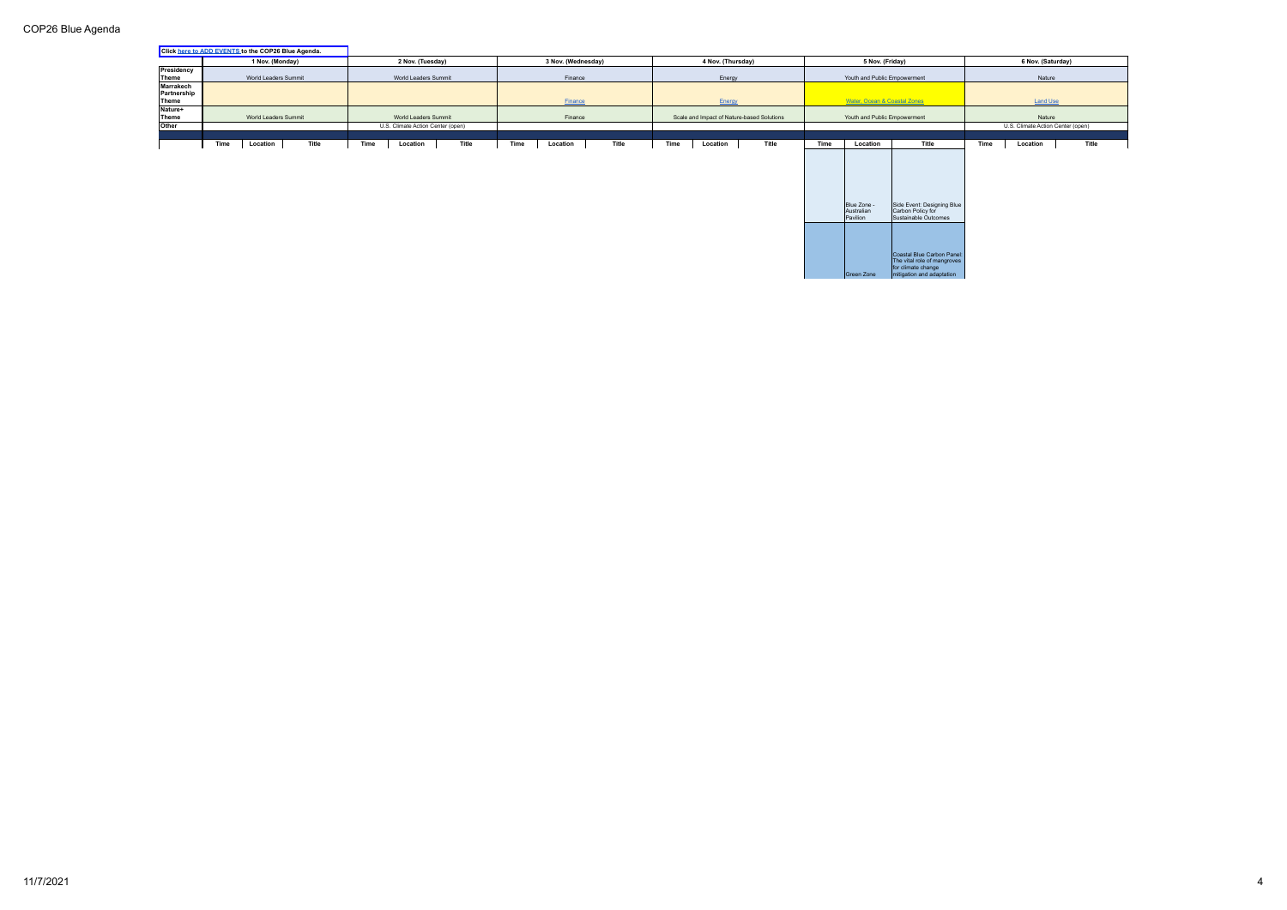|                                   |      | Click here to ADD EVENTS to the COP26 Blue Agenda. |       |      |                                   |       |      |                    |       |      |                                            |       |      |                                         |                                                                         |        |                                   |       |  |
|-----------------------------------|------|----------------------------------------------------|-------|------|-----------------------------------|-------|------|--------------------|-------|------|--------------------------------------------|-------|------|-----------------------------------------|-------------------------------------------------------------------------|--------|-----------------------------------|-------|--|
|                                   |      | 1 Nov. (Monday)                                    |       |      | 2 Nov. (Tuesday)                  |       |      | 3 Nov. (Wednesday) |       |      | 4 Nov. (Thursday)                          |       |      | 5 Nov. (Friday)                         |                                                                         |        | 6 Nov. (Saturday)                 |       |  |
| Presidency<br>Theme               |      | World Leaders Summit                               |       |      | World Leaders Summit              |       |      | Finance            |       |      | Energy                                     |       |      | Youth and Public Empowerment            |                                                                         | Nature |                                   |       |  |
| Marrakech<br>Partnership<br>Theme |      |                                                    |       |      |                                   |       |      | <b>Finance</b>     |       |      | Energy                                     |       |      | <b>Water, Ocean &amp; Coastal Zones</b> |                                                                         |        | <b>Land Use</b>                   |       |  |
| Nature+<br>Theme                  |      | World Leaders Summit                               |       |      | World Leaders Summit              |       |      | Finance            |       |      | Scale and Impact of Nature-based Solutions |       |      | Youth and Public Empowerment            |                                                                         | Nature |                                   |       |  |
| Other                             |      |                                                    |       |      | U.S. Climate Action Center (open) |       |      |                    |       |      |                                            |       |      |                                         |                                                                         |        | U.S. Climate Action Center (open) |       |  |
|                                   |      |                                                    |       |      |                                   |       |      |                    |       |      |                                            |       |      |                                         |                                                                         |        |                                   |       |  |
|                                   | Time | Location                                           | Title | Time | Location                          | Title | Time | Location           | Title | Time | Location                                   | Title | Time | Location                                | Title                                                                   | Time   | Location                          | Title |  |
|                                   |      |                                                    |       |      |                                   |       |      |                    |       |      |                                            |       |      | Blue Zone -<br>Australian<br>Pavilion   | Side Event: Designing Blue<br>Carbon Policy for<br>Sustainable Outcomes |        |                                   |       |  |

en Zone

Coastal Blue Carbon Panel: The vital role of mangroves for climate change mitigation and adaptation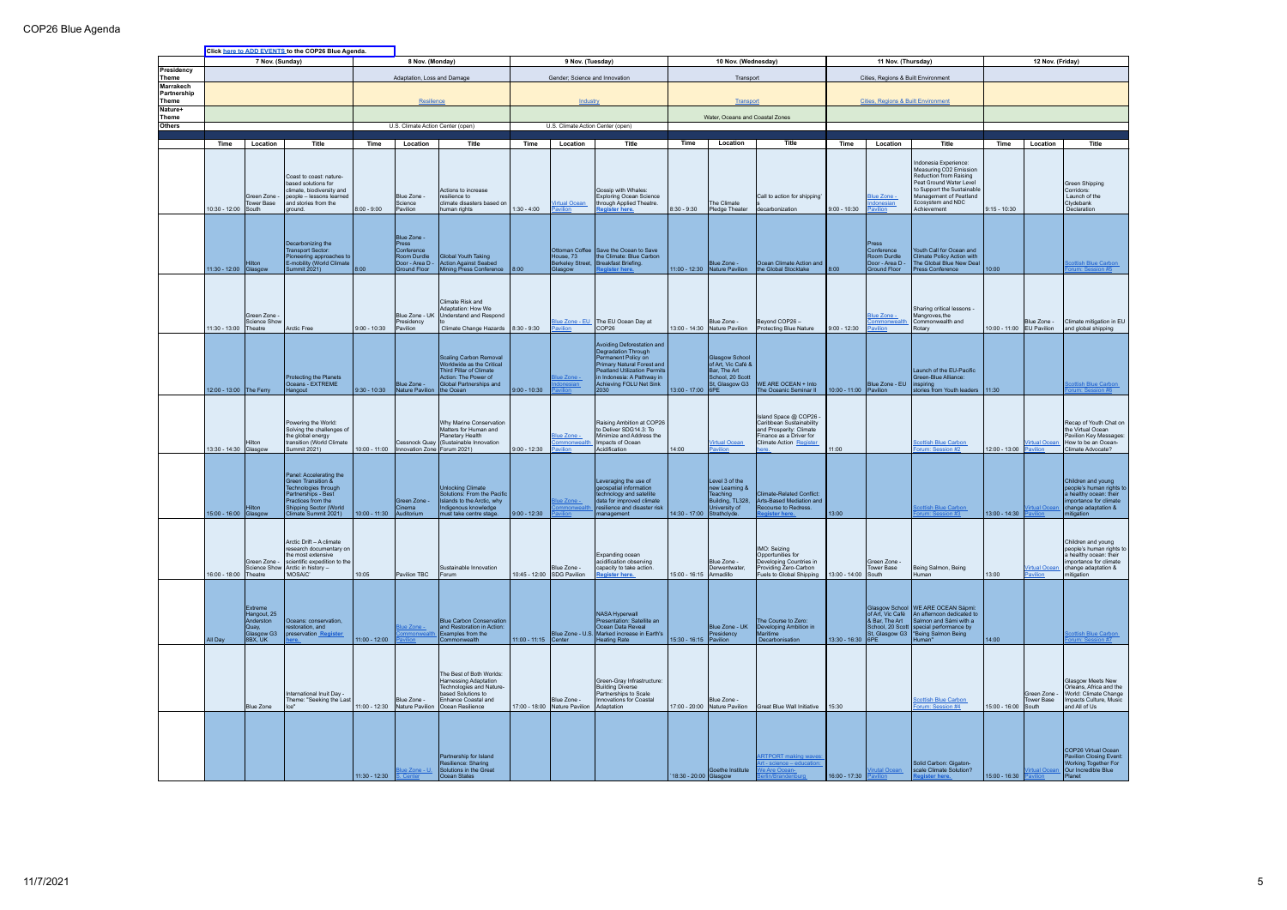|                        |                         |                                                                       | Click here to ADD EVENTS to the COP26 Blue Agenda.                                                                                                                                     |                 |                                                                                           |                                                                                                                                                              | 9 Nov. (Tuesday)     |                                              | 10 Nov. (Wednesday)                                                                                                                                                                                                   |                           |                                                                                                   |                                                                                                                                            |                        |                                                                              | 12 Nov. (Friday)                                                                                                                                                                                                              |                           |                                   |                                                                                                                                         |
|------------------------|-------------------------|-----------------------------------------------------------------------|----------------------------------------------------------------------------------------------------------------------------------------------------------------------------------------|-----------------|-------------------------------------------------------------------------------------------|--------------------------------------------------------------------------------------------------------------------------------------------------------------|----------------------|----------------------------------------------|-----------------------------------------------------------------------------------------------------------------------------------------------------------------------------------------------------------------------|---------------------------|---------------------------------------------------------------------------------------------------|--------------------------------------------------------------------------------------------------------------------------------------------|------------------------|------------------------------------------------------------------------------|-------------------------------------------------------------------------------------------------------------------------------------------------------------------------------------------------------------------------------|---------------------------|-----------------------------------|-----------------------------------------------------------------------------------------------------------------------------------------|
| Presidency             |                         | 7 Nov. (Sunday)                                                       |                                                                                                                                                                                        |                 | 8 Nov. (Mondav)                                                                           |                                                                                                                                                              |                      |                                              |                                                                                                                                                                                                                       |                           |                                                                                                   |                                                                                                                                            |                        | 11 Nov. (Thursday)                                                           |                                                                                                                                                                                                                               |                           |                                   |                                                                                                                                         |
| Theme<br>Marrakech     |                         |                                                                       |                                                                                                                                                                                        |                 | Adaptation, Loss and Damage                                                               |                                                                                                                                                              |                      | Gender: Science and Innovation               |                                                                                                                                                                                                                       |                           | Transport                                                                                         |                                                                                                                                            |                        | Cities, Regions & Built Environment                                          |                                                                                                                                                                                                                               |                           |                                   |                                                                                                                                         |
| Partnership<br>Theme   |                         |                                                                       |                                                                                                                                                                                        |                 | Resilience                                                                                |                                                                                                                                                              |                      | Industry                                     |                                                                                                                                                                                                                       |                           | <b>Transport</b>                                                                                  |                                                                                                                                            |                        | <b>Cities, Regions &amp; Built Environment</b>                               |                                                                                                                                                                                                                               |                           |                                   |                                                                                                                                         |
| Nature+                |                         |                                                                       |                                                                                                                                                                                        |                 |                                                                                           |                                                                                                                                                              |                      |                                              |                                                                                                                                                                                                                       |                           |                                                                                                   |                                                                                                                                            |                        |                                                                              |                                                                                                                                                                                                                               |                           |                                   |                                                                                                                                         |
| Theme<br><b>Others</b> |                         |                                                                       |                                                                                                                                                                                        |                 | U.S. Climate Action Center (open)                                                         |                                                                                                                                                              |                      | U.S. Climate Action Center (open)            |                                                                                                                                                                                                                       |                           | Water, Oceans and Coastal Zones                                                                   |                                                                                                                                            |                        |                                                                              |                                                                                                                                                                                                                               |                           |                                   |                                                                                                                                         |
|                        | Time                    | Location                                                              | Title                                                                                                                                                                                  | Time            | Location                                                                                  | Title                                                                                                                                                        | Time                 | Location                                     | Title                                                                                                                                                                                                                 | Time                      | Location                                                                                          | Title                                                                                                                                      | Time                   | Location                                                                     | Title                                                                                                                                                                                                                         | Time                      | Location                          | Title                                                                                                                                   |
|                        |                         |                                                                       |                                                                                                                                                                                        |                 |                                                                                           |                                                                                                                                                              |                      |                                              |                                                                                                                                                                                                                       |                           |                                                                                                   |                                                                                                                                            |                        |                                                                              |                                                                                                                                                                                                                               |                           |                                   |                                                                                                                                         |
|                        | $10:30 - 12:00$         | Green Zone -<br><b>Tower Base</b><br>South                            | Coast to coast: nature-<br>based solutions for<br>climate, biodiversity and<br>people - lessons learned<br>and stories from the<br>ground.                                             | $8:00 - 9:00$   | Blue Zone -<br>Science<br>Pavilion                                                        | Actions to increase<br>resilience to<br>climate disasters based on<br>human rights                                                                           | $1:30 - 4:00$        | <b>/irtual Ocean</b><br>Pavilion             | Gossip with Whales:<br><b>Exploring Ocean Science</b><br>through Applied Theatre.<br><b>Register here.</b>                                                                                                            | $8:30 - 9:30$             | The Climate<br>Pledge Theater                                                                     | Call to action for shipping'<br>decarbonization                                                                                            | $9:00 - 10:30$         | Blue Zone -<br><b>ndonesian</b><br>Pavilion                                  | Indonesia Experience:<br>Measuring CO2 Emission<br><b>Reduction from Raising</b><br>Peat Ground Water Level<br>to Support the Sustainable<br>Management of Peatland<br>Ecosystem and NDC<br>Achievement                       | $9:15 - 10:30$            |                                   | <b>Green Shipping</b><br>Corridors:<br>Launch of the<br>Clydebank<br>Declaration                                                        |
|                        | 11:30 - 12:00 Glasgow   | Hilton                                                                | Decarbonizing the<br>Transport Sector:<br>Pioneering approaches to<br>E-mobility (World Climate<br>Summit 2021)                                                                        | 8:00            | Blue Zone -<br>Press<br>Conference<br>Room Durdle<br>Door - Area D<br><b>Ground Floor</b> | Global Youth Taking<br>Action Against Seabed<br>Mining Press Conference                                                                                      | 8:00                 | House, 73<br>Glasgow                         | Ottoman Coffee Save the Ocean to Save<br>the Climate: Blue Carbon<br>Berkeley Street, Breakfast Briefing.<br>Register here.                                                                                           |                           | Blue Zone -<br>11:00 - 12:30 Nature Pavilion                                                      | Ocean Climate Action and<br>the Global Stocktake                                                                                           | 8:00                   | Press<br>Conference<br>Room Durdle<br>Door - Area D -<br><b>Ground Floor</b> | Youth Call for Ocean and<br>Climate Policy Action with<br>The Global Blue New Deal<br>Press Conference                                                                                                                        | 10:00                     |                                   | <b>Scottish Blue Carbon</b><br>orum: Session #5                                                                                         |
|                        | $11:30 - 13:00$         | Green Zone -<br><b>Science Show</b><br>Theatre                        | Arctic Free                                                                                                                                                                            | $9:00 - 10:30$  | Blue Zone - UK<br>Presidency<br>Pavilion                                                  | Climate Risk and<br>Adaptation: How We<br>Understand and Respond<br>Climate Change Hazards                                                                   | $8:30 - 9:30$        | Blue Zone - EU<br>Pavilion                   | The EU Ocean Day at<br>COP26                                                                                                                                                                                          |                           | Blue Zone -<br>13:00 - 14:30 Nature Pavilion                                                      | Beyond COP26-<br>Protecting Blue Nature                                                                                                    | $9:00 - 12:30$         | Blue Zone -<br><b>Commonweal</b><br>Pavilion                                 | Sharing critical lessons -<br>Mangroves, the<br>Commonwealth and<br>Rotary                                                                                                                                                    | 10:00 - 11:00 EU Pavilion | Blue Zone -                       | Climate mitigation in EU<br>and global shipping                                                                                         |
|                        | 12:00 - 13:00 The Ferry |                                                                       | Protecting the Planets<br>Oceans - EXTREME<br>Hangout                                                                                                                                  | $9:30 - 10:30$  | Blue Zone -<br>Nature Pavilion                                                            | <b>Scaling Carbon Removal</b><br>Worldwide as the Critical<br><b>Third Pillar of Climate</b><br>Action: The Power of<br>Global Partnerships and<br>the Ocean | $9:00 - 10:30$       | lue Zone -<br>donesian<br>noilive            | Avoiding Deforestation and<br><b>Degradation Through</b><br>Permanent Policy on<br>Primary Natural Forest and<br><b>Peatland Utilization Permits</b><br>in Indonesia: A Pathway in<br>Achieving FOLU Net Sink<br>2030 | 13:00 - 17:00 6PE         | <b>Glasgow School</b><br>of Art, Vic Café &<br>Bar, The Art<br>School, 20 Scott<br>St, Glasgow G3 | WE ARE OCEAN + Into<br>The Oceanic Seminar II                                                                                              | 10:00 - 11:00 Pavilion | Blue Zone - EU                                                               | Launch of the EU-Pacific<br>Green-Blue Alliance:<br>inspiring<br>stories from Youth leaders                                                                                                                                   | 11:30                     |                                   | <b>cottish Blue Carbon</b><br>orum: Session #6                                                                                          |
|                        | 13:30 - 14:30           | <b>Hilton</b><br>Glasgow                                              | Powering the World:<br>Solving the challenges of<br>the global energy<br>transition (World Climate<br>Summit 2021)                                                                     | $10:00 - 11:00$ | Innovation Zone   Forum 2021)                                                             | Why Marine Conservation<br>Matters for Human and<br>Planetary Health<br>Cessnock Quay (Sustainable Innovation                                                | $9:00 - 12:30$       | Blue Zone -<br>ommonwealth<br>avilion        | Raising Ambition at COP26<br>to Deliver SDG14.3: To<br>Minimize and Address the<br>Impacts of Ocean<br>Acidification                                                                                                  | 14:00                     | <b>Virtual Ocean</b><br>Pavilion                                                                  | Island Space @ COP26<br>Caribbean Sustainability<br>and Prosperity: Climate<br>Finance as a Driver for<br>Climate Action Register<br>lere. | 11:00                  |                                                                              | <b>Scottish Blue Carbon</b><br>Forum: Session #2                                                                                                                                                                              | 12:00 - 13:00             | <b>/irtual Ocean</b><br>Pavilion  | Recap of Youth Chat on<br>the Virtual Ocean<br>Pavilion Key Messages:<br>How to be an Ocean-<br>Climate Advocate?                       |
|                        | 15:00 - 16:00           | Hilton<br>Glasgow                                                     | Panel: Accelerating the<br><b>Green Transition &amp;</b><br>Technologies through<br>Partnerships - Best<br>Practices from the<br><b>Shipping Sector (World</b><br>Climate Summit 2021) | $10:00 - 11:30$ | Green Zone -<br>Cinema<br>Auditorium                                                      | <b>Unlocking Climate</b><br>Solutions: From the Pacific<br>Islands to the Arctic, why<br>Indigenous knowledge<br>must take centre stage.                     | $9:00 - 12:30$       | ue Zone -<br>avilion                         | Leveraging the use of<br>geospatial information<br>technology and satellite<br>data for improved climate<br>resilience and disaster risk<br>management                                                                | 14:30 - 17:00             | Level 3 of the<br>new Learning &<br>Teaching<br>Building, TL328,<br>University of<br>Strathclyde. | Climate-Related Conflict:<br>Arts-Based Mediation and<br>Recourse to Redress.<br>egister here.                                             | 13:00                  |                                                                              | <b>Cottish Blue Carbon</b><br>orum: Session #3                                                                                                                                                                                | 13:00 - 14:30             | <b>rtual Ocear</b><br>avilion     | Children and young<br>people's human rights to<br>a healthy ocean: their<br>importance for climate<br>change adaptation &<br>mitigation |
|                        | 16:00 - 18:00           | Theatre                                                               | Arctic Drift - A climate<br>research documentary on<br>the most extensive<br>Green Zone - Scientific expedition to the<br>Science Show   Arctic in history -<br>'MOSAIC'               | 10:05           | Pavilion TBC                                                                              | Sustainable Innovation<br>Forum                                                                                                                              |                      | Blue Zone -<br>10:45 - 12:00 SDG Pavilion    | Expanding ocean<br>acidification observing<br>capacity to take action.<br>Register here.                                                                                                                              | 15:00 - 16:15   Armadillo | Blue Zone -<br>Derwentwater,                                                                      | IMO: Seizing<br>Opportunities for<br>Developing Countries in<br>Providing Zero-Carbon<br>Fuels to Global Shipping                          | 13:00 - 14:00 South    | Green Zone -<br><b>Tower Base</b>                                            | Being Salmon, Being<br>Human                                                                                                                                                                                                  | 13:00                     | <b>Virtual Ocean</b><br>Pavilion  | Children and young<br>people's human rights to<br>a healthy ocean: their<br>importance for climate<br>change adaptation &<br>mitigation |
|                        | All Day                 | Extreme<br>Hangout, 25<br>Anderston<br>Quay,<br>Glasgow G3<br>8BX, UK | Oceans: conservation,<br>restoration, and<br>preservation Register                                                                                                                     | $11:00 - 12:00$ | <b>Blue Zone -</b><br>avilion                                                             | <b>Blue Carbon Conservation</b><br>and Restoration in Action:<br>Examples from the<br>Commonwealth                                                           | 11:00 - 11:15 Center |                                              | NASA Hyperwall<br>Presentation: Satellite an<br>Ocean Data Reveal<br>Blue Zone - U.S. Marked increase in Earth's<br><b>Heating Rate</b>                                                                               | 15:30 - 16:15 Pavilion    | Blue Zone - UK<br>Presidency                                                                      | The Course to Zero:<br>Developing Ambition in<br><b>Maritime</b><br>Decarbonisation                                                        | 13:30 - 16:30 6PE      |                                                                              | Glasgow School   WE ARE OCEAN Sápmi:<br>of Art, Vic Café   An afternoon dedicated to<br>& Bar, The Art   Salmon and Sámi with a<br>School, 20 Scott   special performance by<br>St, Glasgow G3  "Being Salmon Being<br>Human" | 14:00                     |                                   | <b>Scottish Blue Carbon</b><br>orum: Session #7                                                                                         |
|                        |                         | <b>Blue Zone</b>                                                      | International Inuit Day -<br>Theme: "Seeking the Last<br>Ice"                                                                                                                          | 11:00 - 12:30   | Blue Zone -<br>Nature Pavilion                                                            | The Best of Both Worlds:<br>Harnessing Adaptation<br>Technologies and Nature-<br>based Solutions to<br>Enhance Coastal and<br>Ocean Resilience               |                      | Blue Zone -<br>17:00 - 18:00 Nature Pavilion | Green-Gray Infrastructure:<br><b>Building Diverse</b><br>Partnerships to Scale<br>Innovations for Coastal<br>Adaptation                                                                                               |                           | Blue Zone -<br>17:00 - 20:00 Nature Pavilion                                                      | Great Blue Wall Initiative                                                                                                                 | 15:30                  |                                                                              | <b>Scottish Blue Carbon</b><br>Forum: Session #4                                                                                                                                                                              | 15:00 - 16:00 South       | Green Zone -<br><b>Tower Base</b> | Glasgow Meets New<br>Orleans, Africa and the<br>World: Climate Change<br>Impacts Culture, Music<br>and All of Us                        |
|                        |                         |                                                                       |                                                                                                                                                                                        | $11:30 - 12:30$ | lue Zone - U.<br>Center                                                                   | Partnership for Island<br>Resilience: Sharing<br>Solutions in the Great<br>Ocean States                                                                      |                      |                                              |                                                                                                                                                                                                                       | 18:30 - 20:00 Glasgow     | Goethe Institute                                                                                  | <b>ARTPORT making waves</b><br>Art - science - education<br>Ve Are Ocean-<br>lin/Brandenburg                                               | 16:00 - 17:30          | <b>firutal Ocean</b>                                                         | Solid Carbon: Gigaton-<br>scale Climate Solution?<br>aister here.                                                                                                                                                             | $15:00 - 16:30$           | <b>irtual Ocean</b>               | COP26 Virtual Ocean<br>Pavilion Closing Event:<br>Working Together For<br>Our Incredible Blue<br>Planet                                 |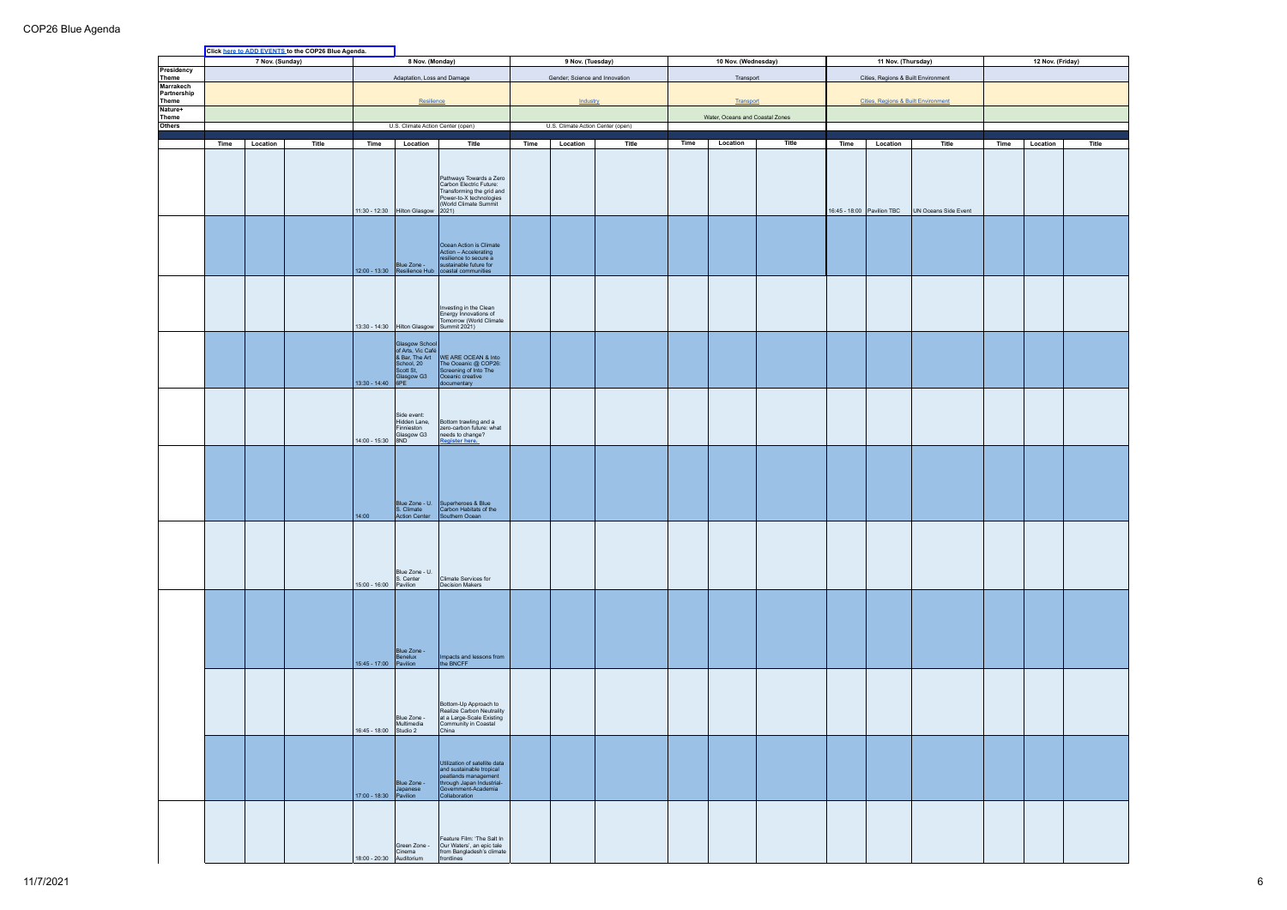|                    | Click here to ADD EVENTS to the COP26 Blue Agenda.<br>7 Nov. (Sunday) |          |       | 8 Nov. (Monday)                 |                                                       |                                                                                          | 9 Nov. (Tuesday) |                                   | 10 Nov. (Wednesday) |      |                                 | 11 Nov. (Thursday) |      |                                                |                      | 12 Nov. (Friday) |          |              |
|--------------------|-----------------------------------------------------------------------|----------|-------|---------------------------------|-------------------------------------------------------|------------------------------------------------------------------------------------------|------------------|-----------------------------------|---------------------|------|---------------------------------|--------------------|------|------------------------------------------------|----------------------|------------------|----------|--------------|
|                    |                                                                       |          |       |                                 |                                                       |                                                                                          |                  |                                   |                     |      |                                 |                    |      |                                                |                      |                  |          |              |
| Presidency         |                                                                       |          |       |                                 |                                                       |                                                                                          |                  |                                   |                     |      |                                 |                    |      |                                                |                      |                  |          |              |
| Theme<br>Marrakech |                                                                       |          |       |                                 | Adaptation, Loss and Damage                           |                                                                                          |                  | Gender; Science and Innovation    |                     |      | Transport                       |                    |      | Cities, Regions & Built Environment            |                      |                  |          |              |
| Partnership        |                                                                       |          |       |                                 |                                                       |                                                                                          |                  |                                   |                     |      |                                 |                    |      |                                                |                      |                  |          |              |
| <b>Theme</b>       |                                                                       |          |       |                                 | Resilience                                            |                                                                                          |                  | Industry                          |                     |      | <b>Transport</b>                |                    |      | <b>Cities, Regions &amp; Built Environment</b> |                      |                  |          |              |
| Nature+            |                                                                       |          |       |                                 |                                                       |                                                                                          |                  |                                   |                     |      |                                 |                    |      |                                                |                      |                  |          |              |
| <b>Theme</b>       |                                                                       |          |       |                                 |                                                       |                                                                                          |                  |                                   |                     |      | Water, Oceans and Coastal Zones |                    |      |                                                |                      |                  |          |              |
| Others             |                                                                       |          |       |                                 | U.S. Climate Action Center (open)                     |                                                                                          |                  | U.S. Climate Action Center (open) |                     |      |                                 |                    |      |                                                |                      |                  |          |              |
|                    | Time                                                                  | Location | Title | Time                            | Location                                              | <b>Title</b>                                                                             | Time             | Location                          | Title               | Time | Location                        | Title              | Time | Location                                       | Title                | Time             | Location | <b>Title</b> |
|                    |                                                                       |          |       |                                 |                                                       |                                                                                          |                  |                                   |                     |      |                                 |                    |      |                                                |                      |                  |          |              |
|                    |                                                                       |          |       |                                 |                                                       |                                                                                          |                  |                                   |                     |      |                                 |                    |      |                                                |                      |                  |          |              |
|                    |                                                                       |          |       |                                 |                                                       |                                                                                          |                  |                                   |                     |      |                                 |                    |      |                                                |                      |                  |          |              |
|                    |                                                                       |          |       |                                 |                                                       | Pathways Towards a Zero<br>Carbon Electric Future:                                       |                  |                                   |                     |      |                                 |                    |      |                                                |                      |                  |          |              |
|                    |                                                                       |          |       |                                 |                                                       |                                                                                          |                  |                                   |                     |      |                                 |                    |      |                                                |                      |                  |          |              |
|                    |                                                                       |          |       |                                 |                                                       | Transforming the grid and<br>Power-to-X technologies<br>(World Climate Summit            |                  |                                   |                     |      |                                 |                    |      |                                                |                      |                  |          |              |
|                    |                                                                       |          |       |                                 | 11:30 - 12:30   Hilton Glasgow 2021)                  |                                                                                          |                  |                                   |                     |      |                                 |                    |      | 16:45 - 18:00 Pavilion TBC                     | UN Oceans Side Event |                  |          |              |
|                    |                                                                       |          |       |                                 |                                                       |                                                                                          |                  |                                   |                     |      |                                 |                    |      |                                                |                      |                  |          |              |
|                    |                                                                       |          |       |                                 |                                                       |                                                                                          |                  |                                   |                     |      |                                 |                    |      |                                                |                      |                  |          |              |
|                    |                                                                       |          |       |                                 |                                                       | Ocean Action is Climate                                                                  |                  |                                   |                     |      |                                 |                    |      |                                                |                      |                  |          |              |
|                    |                                                                       |          |       |                                 |                                                       | Action - Accelerating                                                                    |                  |                                   |                     |      |                                 |                    |      |                                                |                      |                  |          |              |
|                    |                                                                       |          |       |                                 | Blue Zone -                                           | resilience to secure a<br>sustainable future for                                         |                  |                                   |                     |      |                                 |                    |      |                                                |                      |                  |          |              |
|                    |                                                                       |          |       |                                 |                                                       | 12:00 - 13:30 Resilience Hub coastal communities                                         |                  |                                   |                     |      |                                 |                    |      |                                                |                      |                  |          |              |
|                    |                                                                       |          |       |                                 |                                                       |                                                                                          |                  |                                   |                     |      |                                 |                    |      |                                                |                      |                  |          |              |
|                    |                                                                       |          |       |                                 |                                                       |                                                                                          |                  |                                   |                     |      |                                 |                    |      |                                                |                      |                  |          |              |
|                    |                                                                       |          |       |                                 |                                                       |                                                                                          |                  |                                   |                     |      |                                 |                    |      |                                                |                      |                  |          |              |
|                    |                                                                       |          |       |                                 |                                                       | Investing in the Clean<br>Energy Innovations of<br>Tomorrow (World Climate               |                  |                                   |                     |      |                                 |                    |      |                                                |                      |                  |          |              |
|                    |                                                                       |          |       |                                 | 13:30 - 14:30   Hilton Glasgow                        | Summit 2021)                                                                             |                  |                                   |                     |      |                                 |                    |      |                                                |                      |                  |          |              |
|                    |                                                                       |          |       |                                 |                                                       |                                                                                          |                  |                                   |                     |      |                                 |                    |      |                                                |                      |                  |          |              |
|                    |                                                                       |          |       |                                 |                                                       |                                                                                          |                  |                                   |                     |      |                                 |                    |      |                                                |                      |                  |          |              |
|                    |                                                                       |          |       |                                 | Glasgow School<br>of Arts, Vic Café<br>& Bar, The Art |                                                                                          |                  |                                   |                     |      |                                 |                    |      |                                                |                      |                  |          |              |
|                    |                                                                       |          |       |                                 | School, 20                                            | WE ARE OCEAN & Into<br>The Oceanic @ COP26:<br>Screening of Into The<br>Oceanic creative |                  |                                   |                     |      |                                 |                    |      |                                                |                      |                  |          |              |
|                    |                                                                       |          |       |                                 | Scott St,                                             |                                                                                          |                  |                                   |                     |      |                                 |                    |      |                                                |                      |                  |          |              |
|                    |                                                                       |          |       | Glasgow G3<br>13:30 - 14:40 6PE |                                                       | documentary                                                                              |                  |                                   |                     |      |                                 |                    |      |                                                |                      |                  |          |              |
|                    |                                                                       |          |       |                                 |                                                       |                                                                                          |                  |                                   |                     |      |                                 |                    |      |                                                |                      |                  |          |              |
|                    |                                                                       |          |       |                                 |                                                       |                                                                                          |                  |                                   |                     |      |                                 |                    |      |                                                |                      |                  |          |              |
|                    |                                                                       |          |       |                                 | Side event:                                           |                                                                                          |                  |                                   |                     |      |                                 |                    |      |                                                |                      |                  |          |              |
|                    |                                                                       |          |       |                                 | Hidden Lane,<br>Finnieston                            |                                                                                          |                  |                                   |                     |      |                                 |                    |      |                                                |                      |                  |          |              |
|                    |                                                                       |          |       |                                 | Glasgow G3<br>8ND                                     | Bottom trawling and a<br>zero-carbon future: what<br>needs to change?<br>Register here.  |                  |                                   |                     |      |                                 |                    |      |                                                |                      |                  |          |              |
|                    |                                                                       |          |       | 14:00 - 15:30                   |                                                       |                                                                                          |                  |                                   |                     |      |                                 |                    |      |                                                |                      |                  |          |              |
|                    |                                                                       |          |       |                                 |                                                       |                                                                                          |                  |                                   |                     |      |                                 |                    |      |                                                |                      |                  |          |              |
|                    |                                                                       |          |       |                                 |                                                       |                                                                                          |                  |                                   |                     |      |                                 |                    |      |                                                |                      |                  |          |              |
|                    |                                                                       |          |       |                                 |                                                       |                                                                                          |                  |                                   |                     |      |                                 |                    |      |                                                |                      |                  |          |              |
|                    |                                                                       |          |       |                                 |                                                       |                                                                                          |                  |                                   |                     |      |                                 |                    |      |                                                |                      |                  |          |              |
|                    |                                                                       |          |       |                                 |                                                       |                                                                                          |                  |                                   |                     |      |                                 |                    |      |                                                |                      |                  |          |              |
|                    |                                                                       |          |       |                                 |                                                       |                                                                                          |                  |                                   |                     |      |                                 |                    |      |                                                |                      |                  |          |              |
|                    |                                                                       |          |       | 14:00                           |                                                       | Blue Zone - U.<br>S. Climate Carbon Habitats of the Action Center Southern Ocean         |                  |                                   |                     |      |                                 |                    |      |                                                |                      |                  |          |              |
|                    |                                                                       |          |       |                                 |                                                       |                                                                                          |                  |                                   |                     |      |                                 |                    |      |                                                |                      |                  |          |              |
|                    |                                                                       |          |       |                                 |                                                       |                                                                                          |                  |                                   |                     |      |                                 |                    |      |                                                |                      |                  |          |              |
|                    |                                                                       |          |       |                                 |                                                       |                                                                                          |                  |                                   |                     |      |                                 |                    |      |                                                |                      |                  |          |              |
|                    |                                                                       |          |       |                                 |                                                       |                                                                                          |                  |                                   |                     |      |                                 |                    |      |                                                |                      |                  |          |              |
|                    |                                                                       |          |       |                                 |                                                       |                                                                                          |                  |                                   |                     |      |                                 |                    |      |                                                |                      |                  |          |              |
|                    |                                                                       |          |       |                                 | Blue Zone - U.<br>S. Center                           | Climate Services for                                                                     |                  |                                   |                     |      |                                 |                    |      |                                                |                      |                  |          |              |
|                    |                                                                       |          |       | 15:00 - 16:00 Pavilion          |                                                       | <b>Decision Makers</b>                                                                   |                  |                                   |                     |      |                                 |                    |      |                                                |                      |                  |          |              |
|                    |                                                                       |          |       |                                 |                                                       |                                                                                          |                  |                                   |                     |      |                                 |                    |      |                                                |                      |                  |          |              |
|                    |                                                                       |          |       |                                 |                                                       |                                                                                          |                  |                                   |                     |      |                                 |                    |      |                                                |                      |                  |          |              |
|                    |                                                                       |          |       |                                 |                                                       |                                                                                          |                  |                                   |                     |      |                                 |                    |      |                                                |                      |                  |          |              |
|                    |                                                                       |          |       |                                 |                                                       |                                                                                          |                  |                                   |                     |      |                                 |                    |      |                                                |                      |                  |          |              |
|                    |                                                                       |          |       |                                 |                                                       |                                                                                          |                  |                                   |                     |      |                                 |                    |      |                                                |                      |                  |          |              |
|                    |                                                                       |          |       |                                 | Blue Zone -                                           |                                                                                          |                  |                                   |                     |      |                                 |                    |      |                                                |                      |                  |          |              |
|                    |                                                                       |          |       |                                 | Benelux                                               | Impacts and lessons from<br>the BNCFF                                                    |                  |                                   |                     |      |                                 |                    |      |                                                |                      |                  |          |              |
|                    |                                                                       |          |       | 15:45 - 17:00 Pavilion          |                                                       |                                                                                          |                  |                                   |                     |      |                                 |                    |      |                                                |                      |                  |          |              |
|                    |                                                                       |          |       |                                 |                                                       |                                                                                          |                  |                                   |                     |      |                                 |                    |      |                                                |                      |                  |          |              |
|                    |                                                                       |          |       |                                 |                                                       |                                                                                          |                  |                                   |                     |      |                                 |                    |      |                                                |                      |                  |          |              |
|                    |                                                                       |          |       |                                 |                                                       |                                                                                          |                  |                                   |                     |      |                                 |                    |      |                                                |                      |                  |          |              |
|                    |                                                                       |          |       |                                 |                                                       | Bottom-Up Approach to<br>Realize Carbon Neutrality                                       |                  |                                   |                     |      |                                 |                    |      |                                                |                      |                  |          |              |
|                    |                                                                       |          |       |                                 | Blue Zone -                                           | at a Large-Scale Existing<br>Community in Coastal                                        |                  |                                   |                     |      |                                 |                    |      |                                                |                      |                  |          |              |
|                    |                                                                       |          |       | 16:45 - 18:00 Studio 2          | Multimedia                                            | China                                                                                    |                  |                                   |                     |      |                                 |                    |      |                                                |                      |                  |          |              |
|                    |                                                                       |          |       |                                 |                                                       |                                                                                          |                  |                                   |                     |      |                                 |                    |      |                                                |                      |                  |          |              |
|                    |                                                                       |          |       |                                 |                                                       |                                                                                          |                  |                                   |                     |      |                                 |                    |      |                                                |                      |                  |          |              |
|                    |                                                                       |          |       |                                 |                                                       |                                                                                          |                  |                                   |                     |      |                                 |                    |      |                                                |                      |                  |          |              |
|                    |                                                                       |          |       |                                 |                                                       | Utilization of satellite data                                                            |                  |                                   |                     |      |                                 |                    |      |                                                |                      |                  |          |              |
|                    |                                                                       |          |       |                                 |                                                       | and sustainable tropical<br>peatlands management<br>through Japan Industrial-            |                  |                                   |                     |      |                                 |                    |      |                                                |                      |                  |          |              |
|                    |                                                                       |          |       |                                 | Blue Zone -<br>Japanese                               | Government-Academia                                                                      |                  |                                   |                     |      |                                 |                    |      |                                                |                      |                  |          |              |
|                    |                                                                       |          |       | 17:00 - 18:30 Pavilion          |                                                       | Collaboration                                                                            |                  |                                   |                     |      |                                 |                    |      |                                                |                      |                  |          |              |
|                    |                                                                       |          |       |                                 |                                                       |                                                                                          |                  |                                   |                     |      |                                 |                    |      |                                                |                      |                  |          |              |
|                    |                                                                       |          |       |                                 |                                                       |                                                                                          |                  |                                   |                     |      |                                 |                    |      |                                                |                      |                  |          |              |
|                    |                                                                       |          |       |                                 |                                                       |                                                                                          |                  |                                   |                     |      |                                 |                    |      |                                                |                      |                  |          |              |
|                    |                                                                       |          |       |                                 |                                                       | Feature Film: 'The Salt In                                                               |                  |                                   |                     |      |                                 |                    |      |                                                |                      |                  |          |              |
|                    |                                                                       |          |       |                                 | Green Zone -                                          | Our Waters', an epic tale                                                                |                  |                                   |                     |      |                                 |                    |      |                                                |                      |                  |          |              |
|                    |                                                                       |          |       | 18:00 - 20:30 Auditorium        | Cinema                                                | from Bangladesh's climate<br>frontlines                                                  |                  |                                   |                     |      |                                 |                    |      |                                                |                      |                  |          |              |